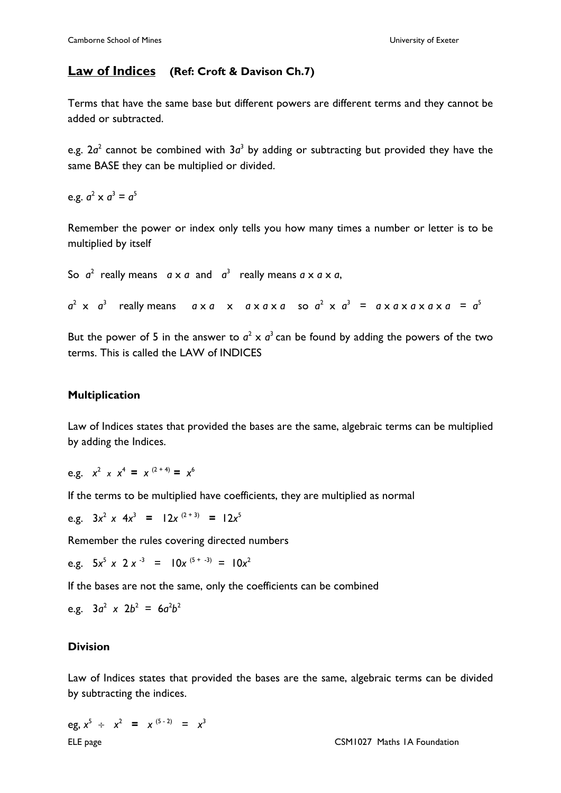# **Law of Indices (Ref: Croft & Davison Ch.7)**

Terms that have the same base but different powers are different terms and they cannot be added or subtracted.

e.g.  $2a^2$  cannot be combined with  $3a^3$  by adding or subtracting but provided they have the same BASE they can be multiplied or divided.

e.g.  $a^2 \times a^3 = a^5$ 

Remember the power or index only tells you how many times a number or letter is to be multiplied by itself

So  $a^2$  really means  $a \times a$  and  $a^3$  really means  $a \times a \times a$ ,

 $a^2$  x  $a^3$  really means  $a \times a \times a \times a \times a \times a \times a^2 \times a^3 = a \times a \times a \times a \times a = a^5$ 

But the power of 5 in the answer to  $a^2 \times a^3$  can be found by adding the powers of the two terms. This is called the LAW of INDICES

## **Multiplication**

Law of Indices states that provided the bases are the same, algebraic terms can be multiplied by adding the Indices.

e.g.  $x^2$  *x*  $x^4$  = *x*<sup>(2+4)</sup> = *x*<sup>6</sup>

If the terms to be multiplied have coefficients, they are multiplied as normal

e.g.  $3x^2 \times 4x^3 = 12x^{(2+3)} = 12x^5$ 

Remember the rules covering directed numbers

e.g.  $5x^5 \times 2x^{-3} = 10x^{(5 + -3)} = 10x^2$ 

If the bases are not the same, only the coefficients can be combined

e.g.  $3a^2 \times 2b^2 = 6a^2b^2$ 

### **Division**

Law of Indices states that provided the bases are the same, algebraic terms can be divided by subtracting the indices.

ELE page CSM1027 Maths 1A Foundation eg,  $x^5 \div x^2 = x^{(5-2)} = x^3$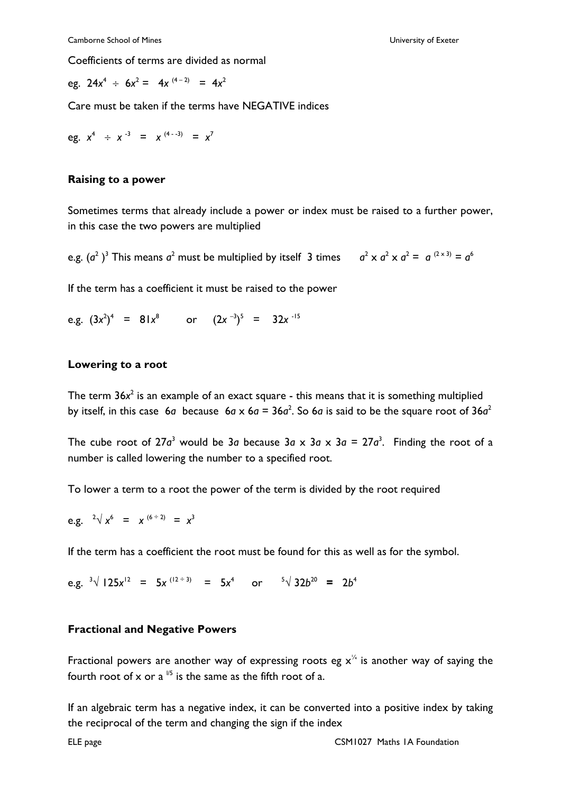Coefficients of terms are divided as normal

eg.  $24x^4 \div 6x^2 = 4x^{(4-2)} = 4x^2$ 

Care must be taken if the terms have NEGATIVE indices

eg. 
$$
x^4 \div x^{-3} = x^{(4-3)} = x^7
$$

#### **Raising to a power**

Sometimes terms that already include a power or index must be raised to a further power, in this case the two powers are multiplied

e.g.  $(a^2)^3$  This means  $a^2$  must be multiplied by itself 3 times  $a^2 \times a^2 \times a^2 = a^{(2 \times 3)} = a^6$ 

If the term has a coefficient it must be raised to the power

e.g.  $(3x^2)^4$  = 81*x*<sup>8</sup> or  $(2x^{-3})^5$  = 32*x*<sup>-15</sup>

### **Lowering to a root**

The term 36x<sup>2</sup> is an example of an exact square - this means that it is something multiplied by itself, in this case 6*a* because 6*a* x 6*a* = 36*a*<sup>2</sup>. So 6*a* is said to be the square root of 36*a*<sup>2</sup>

The cube root of 27 $a^3$  would be 3*a* because 3*a* x 3*a* x 3*a* = 27 $a^3$ . Finding the root of a number is called lowering the number to a specified root.

To lower a term to a root the power of the term is divided by the root required

e.g. 
$$
2\sqrt{x^6} = x^{(6 \div 2)} = x^3
$$

If the term has a coefficient the root must be found for this as well as for the symbol.

e.g.  $3\sqrt{125x^{12}} = 5x^{(12 \div 3)} = 5x^4$  or  $5\sqrt{32b^{20}} = 2b^4$ 

### **Fractional and Negative Powers**

Fractional powers are another way of expressing roots eg  $x^{\frac{1}{4}}$  is another way of saying the fourth root of x or a  $\frac{1}{5}$  is the same as the fifth root of a.

If an algebraic term has a negative index, it can be converted into a positive index by taking the reciprocal of the term and changing the sign if the index